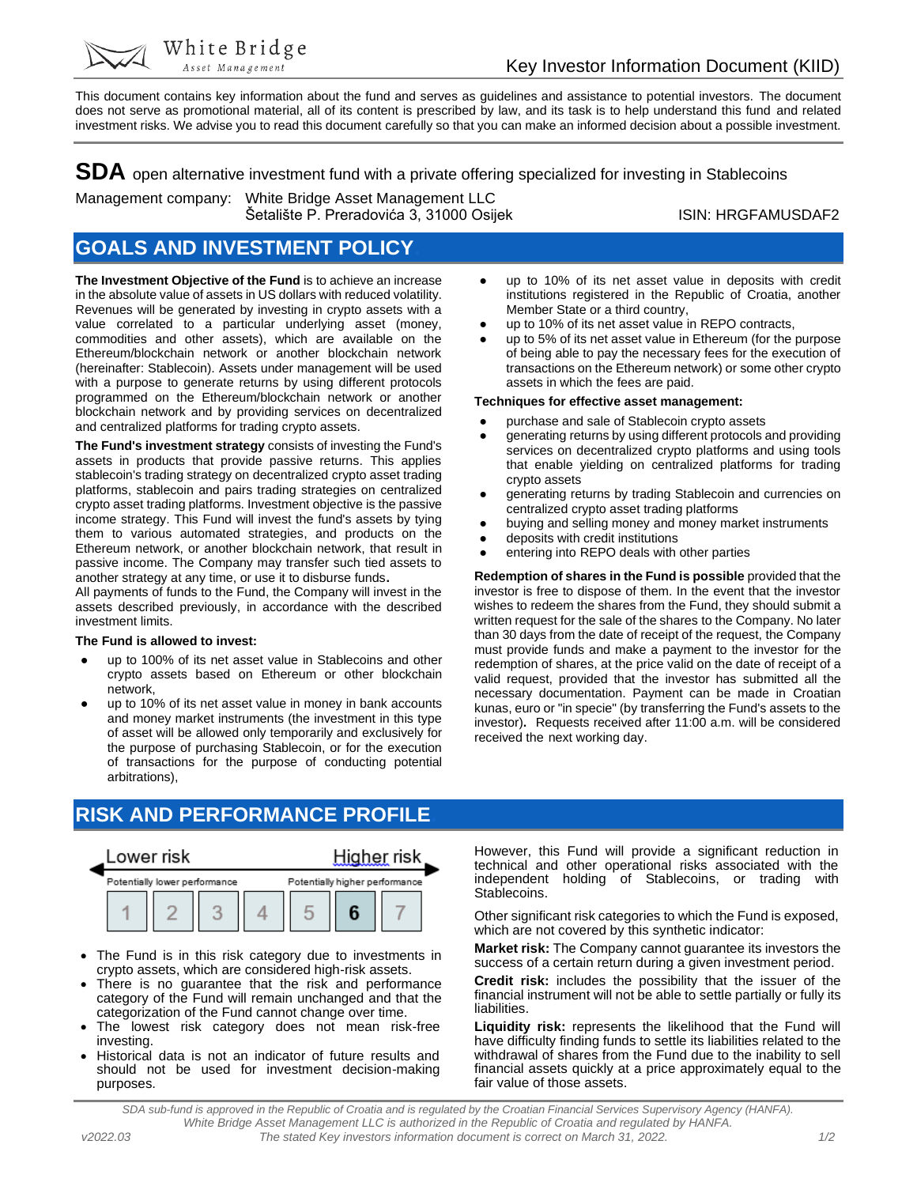● up to 10% of its net asset value in deposits with credit institutions registered in the Republic of Croatia, another

up to 5% of its net asset value in Ethereum (for the purpose of being able to pay the necessary fees for the execution of transactions on the Ethereum network) or some other crypto

generating returns by using different protocols and providing services on decentralized crypto platforms and using tools that enable yielding on centralized platforms for trading

generating returns by trading Stablecoin and currencies on

● buying and selling money and money market instruments

**Redemption of shares in the Fund is possible** provided that the investor is free to dispose of them. In the event that the investor wishes to redeem the shares from the Fund, they should submit a written request for the sale of the shares to the Company. No later than 30 days from the date of receipt of the request, the Company must provide funds and make a payment to the investor for the redemption of shares, at the price valid on the date of receipt of a valid request, provided that the investor has submitted all the necessary documentation. Payment can be made in Croatian kunas, euro or "in specie" (by transferring the Fund's assets to the investor)**.** Requests received after 11:00 a.m. will be considered

● up to 10% of its net asset value in REPO contracts,

Member State or a third country,

assets in which the fees are paid. **Techniques for effective asset management:** ● purchase and sale of Stablecoin crypto assets

centralized crypto asset trading platforms

entering into REPO deals with other parties

deposits with credit institutions

crypto assets

received the next working day.

This document contains key information about the fund and serves as guidelines and assistance to potential investors. The document does not serve as promotional material, all of its content is prescribed by law, and its task is to help understand this fund and related investment risks. We advise you to read this document carefully so that you can make an informed decision about a possible investment.

**SDA** open alternative investment fund with a private offering specialized for investing in Stablecoins

Management company: White Bridge Asset Management LLC Šetalište P. Preradovića 3, 31000 Osijek ISIN: HRGFAMUSDAF2

### **GOALS AND INVESTMENT POLICY.**

White Bridge Asset Management

**The Investment Objective of the Fund** is to achieve an increase in the absolute value of assets in US dollars with reduced volatility. Revenues will be generated by investing in crypto assets with a value correlated to a particular underlying asset (money, commodities and other assets), which are available on the Ethereum/blockchain network or another blockchain network (hereinafter: Stablecoin). Assets under management will be used with a purpose to generate returns by using different protocols programmed on the Ethereum/blockchain network or another blockchain network and by providing services on decentralized and centralized platforms for trading crypto assets.

**The Fund's investment strategy** consists of investing the Fund's assets in products that provide passive returns. This applies stablecoin's trading strategy on decentralized crypto asset trading platforms, stablecoin and pairs trading strategies on centralized crypto asset trading platforms. Investment objective is the passive income strategy. This Fund will invest the fund's assets by tying them to various automated strategies, and products on the Ethereum network, or another blockchain network, that result in passive income. The Company may transfer such tied assets to another strategy at any time, or use it to disburse funds**.**

All payments of funds to the Fund, the Company will invest in the assets described previously, in accordance with the described investment limits.

### **The Fund is allowed to invest:**

- up to 100% of its net asset value in Stablecoins and other crypto assets based on Ethereum or other blockchain network,
- up to 10% of its net asset value in money in bank accounts and money market instruments (the investment in this type of asset will be allowed only temporarily and exclusively for the purpose of purchasing Stablecoin, or for the execution of transactions for the purpose of conducting potential arbitrations),
- **RISK AND PERFORMANCE PROFILE.**



- The Fund is in this risk category due to investments in crypto assets, which are considered high-risk assets.
- There is no guarantee that the risk and performance category of the Fund will remain unchanged and that the categorization of the Fund cannot change over time.
- The lowest risk category does not mean risk-free investing.
- Historical data is not an indicator of future results and should not be used for investment decision-making purposes.

However, this Fund will provide a significant reduction in technical and other operational risks associated with the independent holding of Stablecoins, or trading with Stablecoins.

Other significant risk categories to which the Fund is exposed, which are not covered by this synthetic indicator:

**Market risk:** The Company cannot guarantee its investors the success of a certain return during a given investment period.

**Credit risk:** includes the possibility that the issuer of the financial instrument will not be able to settle partially or fully its liabilities.

**Liquidity risk:** represents the likelihood that the Fund will have difficulty finding funds to settle its liabilities related to the withdrawal of shares from the Fund due to the inability to sell financial assets quickly at a price approximately equal to the fair value of those assets.

*SDA sub-fund is approved in the Republic of Croatia and is regulated by the Croatian Financial Services Supervisory Agency (HANFA). White Bridge Asset Management LLC is authorized in the Republic of Croatia and regulated by HANFA. v2022.03 The stated Key investors information document is correct on March 31, 2022. 1/2*